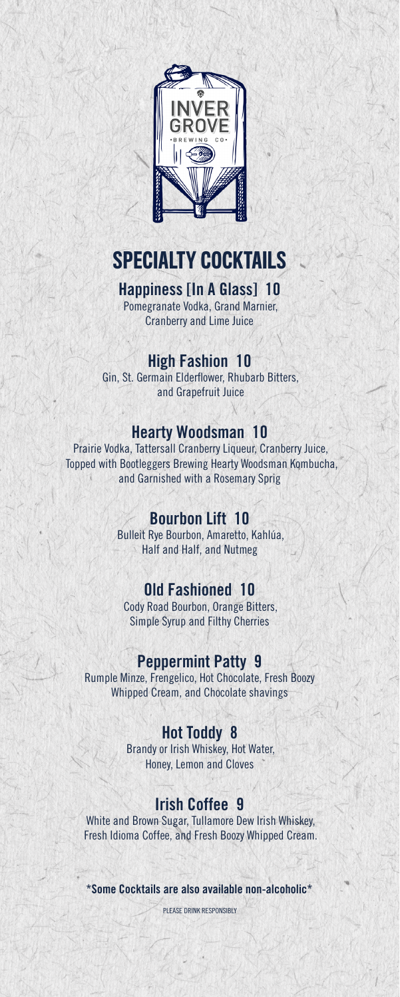

# SPECIALTY COCKTAILS

Happiness [In A Glass] 10 Pomegranate Vodka, Grand Marnier, Cranberry and Lime Juice

### High Fashion 10

Gin, St. Germain Elderflower, Rhubarb Bitters, and Grapefruit Juice

### Hearty Woodsman 10

Prairie Vodka, Tattersall Cranberry Liqueur, Cranberry Juice, Topped with Bootleggers Brewing Hearty Woodsman Kombucha, and Garnished with a Rosemary Sprig

#### Bourbon Lift 10

Bulleit Rye Bourbon, Amaretto, Kahlúa, Half and Half, and Nutmeg

#### Old Fashioned 10

Cody Road Bourbon, Orange Bitters, Simple Syrup and Filthy Cherries

#### Peppermint Patty 9

Rumple Minze, Frengelico, Hot Chocolate, Fresh Boozy Whipped Cream, and Chocolate shavings

#### Hot Toddy 8

Brandy or Irish Whiskey, Hot Water, Honey, Lemon and Cloves

### Irish Coffee 9

White and Brown Sugar, Tullamore Dew Irish Whiskey, Fresh Idioma Coffee, and Fresh Boozy Whipped Cream.

\*Some Cocktails are also available non-alcoholic\*

PLEASE DRINK RESPONSIBLY